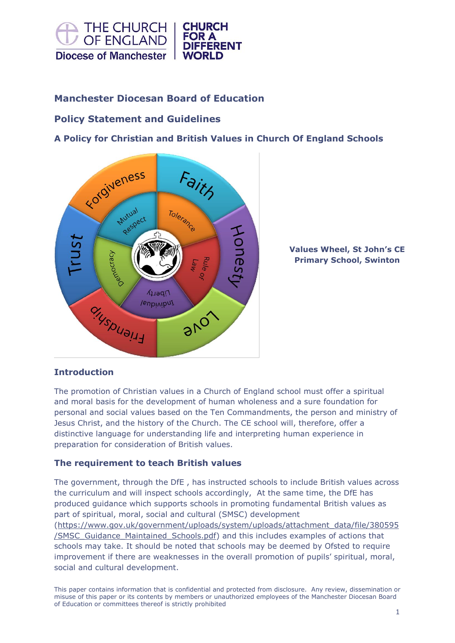

# **Manchester Diocesan Board of Education**

# **Policy Statement and Guidelines**

**A Policy for Christian and British Values in Church Of England Schools**



**Values Wheel, St John's CE Primary School, Swinton**

## **Introduction**

The promotion of Christian values in a Church of England school must offer a spiritual and moral basis for the development of human wholeness and a sure foundation for personal and social values based on the Ten Commandments, the person and ministry of Jesus Christ, and the history of the Church. The CE school will, therefore, offer a distinctive language for understanding life and interpreting human experience in preparation for consideration of British values.

### **The requirement to teach British values**

The government, through the DfE , has instructed schools to include British values across the curriculum and will inspect schools accordingly, At the same time, the DfE has produced guidance which supports schools in promoting fundamental British values as part of spiritual, moral, social and cultural (SMSC) development [\(https://www.gov.uk/government/uploads/system/uploads/attachment\\_data/file/380595](https://www.gov.uk/government/uploads/system/uploads/attachment_data/file/380595/SMSC_Guidance_Maintained_Schools.pdf) [/SMSC\\_Guidance\\_Maintained\\_Schools.pdf\)](https://www.gov.uk/government/uploads/system/uploads/attachment_data/file/380595/SMSC_Guidance_Maintained_Schools.pdf) and this includes examples of actions that schools may take. It should be noted that schools may be deemed by Ofsted to require improvement if there are weaknesses in the overall promotion of pupils' spiritual, moral, social and cultural development.

This paper contains information that is confidential and protected from disclosure. Any review, dissemination or misuse of this paper or its contents by members or unauthorized employees of the Manchester Diocesan Board of Education or committees thereof is strictly prohibited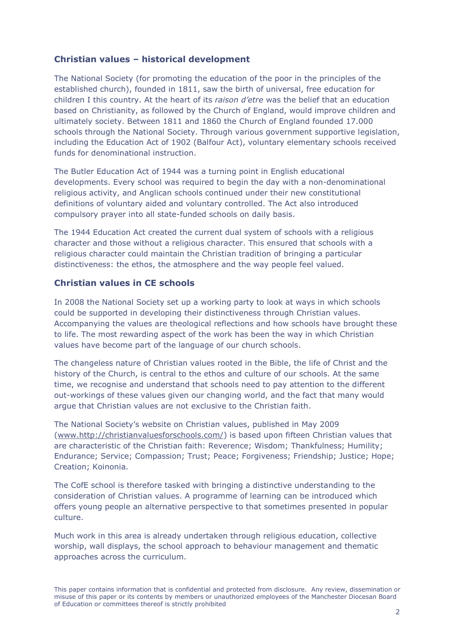## **Christian values – historical development**

The National Society (for promoting the education of the poor in the principles of the established church), founded in 1811, saw the birth of universal, free education for children I this country. At the heart of its *raison d'etre* was the belief that an education based on Christianity, as followed by the Church of England, would improve children and ultimately society. Between 1811 and 1860 the Church of England founded 17.000 schools through the National Society. Through various government supportive legislation, including the Education Act of 1902 (Balfour Act), voluntary elementary schools received funds for denominational instruction.

The Butler Education Act of 1944 was a turning point in English educational developments. Every school was required to begin the day with a non-denominational religious activity, and Anglican schools continued under their new constitutional definitions of voluntary aided and voluntary controlled. The Act also introduced compulsory prayer into all state-funded schools on daily basis.

The 1944 Education Act created the current dual system of schools with a religious character and those without a religious character. This ensured that schools with a religious character could maintain the Christian tradition of bringing a particular distinctiveness: the ethos, the atmosphere and the way people feel valued.

## **Christian values in CE schools**

In 2008 the National Society set up a working party to look at ways in which schools could be supported in developing their distinctiveness through Christian values. Accompanying the values are theological reflections and how schools have brought these to life. The most rewarding aspect of the work has been the way in which Christian values have become part of the language of our church schools.

The changeless nature of Christian values rooted in the Bible, the life of Christ and the history of the Church, is central to the ethos and culture of our schools. At the same time, we recognise and understand that schools need to pay attention to the different out-workings of these values given our changing world, and the fact that many would argue that Christian values are not exclusive to the Christian faith.

The National Society's website on Christian values, published in May 2009 [\(www.http://christianvaluesforschools.com/\)](http://www.http/christianvaluesforschools.com/) is based upon fifteen Christian values that are characteristic of the Christian faith: Reverence; Wisdom; Thankfulness; Humility; Endurance; Service; Compassion; Trust; Peace; Forgiveness; Friendship; Justice; Hope; Creation; Koinonia.

The CofE school is therefore tasked with bringing a distinctive understanding to the consideration of Christian values. A programme of learning can be introduced which offers young people an alternative perspective to that sometimes presented in popular culture.

Much work in this area is already undertaken through religious education, collective worship, wall displays, the school approach to behaviour management and thematic approaches across the curriculum.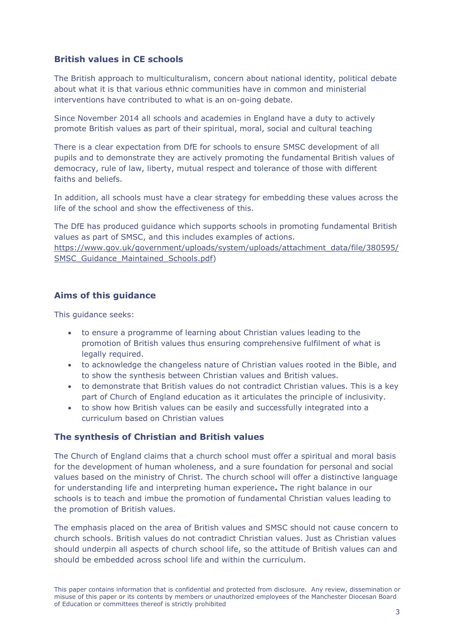## **British values in CE schools**

The British approach to multiculturalism, concern about national identity, political debate about what it is that various ethnic communities have in common and ministerial interventions have contributed to what is an on-going debate.

Since November 2014 all schools and academies in England have a duty to actively promote British values as part of their spiritual, moral, social and cultural teaching

There is a clear expectation from DfE for schools to ensure SMSC development of all pupils and to demonstrate they are actively promoting the fundamental British values of democracy, rule of law, liberty, mutual respect and tolerance of those with different faiths and beliefs.

In addition, all schools must have a clear strategy for embedding these values across the life of the school and show the effectiveness of this.

The DfE has produced guidance which supports schools in promoting fundamental British values as part of SMSC, and this includes examples of actions.

[https://www.gov.uk/government/uploads/system/uploads/attachment\\_data/file/380595/](https://www.gov.uk/government/uploads/system/uploads/attachment_data/file/380595/SMSC_Guidance_Maintained_Schools.pdf) [SMSC\\_Guidance\\_Maintained\\_Schools.pdf\)](https://www.gov.uk/government/uploads/system/uploads/attachment_data/file/380595/SMSC_Guidance_Maintained_Schools.pdf)

## **Aims of this guidance**

This guidance seeks:

- to ensure a programme of learning about Christian values leading to the promotion of British values thus ensuring comprehensive fulfilment of what is legally required.
- to acknowledge the changeless nature of Christian values rooted in the Bible, and to show the synthesis between Christian values and British values.
- to demonstrate that British values do not contradict Christian values. This is a key part of Church of England education as it articulates the principle of inclusivity.
- to show how British values can be easily and successfully integrated into a curriculum based on Christian values

### **The synthesis of Christian and British values**

The Church of England claims that a church school must offer a spiritual and moral basis for the development of human wholeness, and a sure foundation for personal and social values based on the ministry of Christ. The church school will offer a distinctive language for understanding life and interpreting human experience**.** The right balance in our schools is to teach and imbue the promotion of fundamental Christian values leading to the promotion of British values.

The emphasis placed on the area of British values and SMSC should not cause concern to church schools. British values do not contradict Christian values. Just as Christian values should underpin all aspects of church school life, so the attitude of British values can and should be embedded across school life and within the curriculum.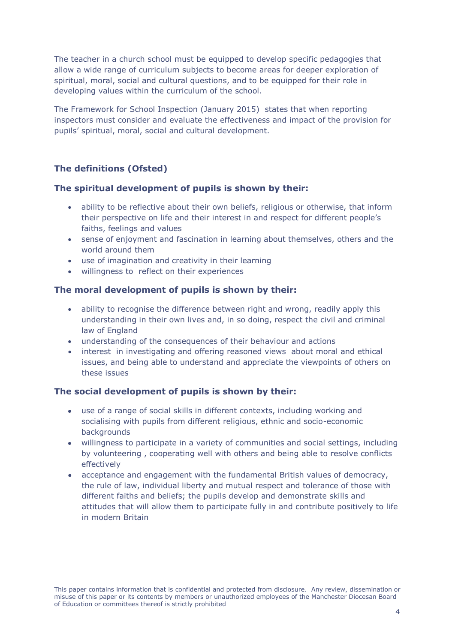The teacher in a church school must be equipped to develop specific pedagogies that allow a wide range of curriculum subjects to become areas for deeper exploration of spiritual, moral, social and cultural questions, and to be equipped for their role in developing values within the curriculum of the school.

The Framework for School Inspection (January 2015) states that when reporting inspectors must consider and evaluate the effectiveness and impact of the provision for pupils' spiritual, moral, social and cultural development.

# **The definitions (Ofsted)**

### **The spiritual development of pupils is shown by their:**

- ability to be reflective about their own beliefs, religious or otherwise, that inform their perspective on life and their interest in and respect for different people's faiths, feelings and values
- sense of enjoyment and fascination in learning about themselves, others and the world around them
- use of imagination and creativity in their learning
- willingness to reflect on their experiences

## **The moral development of pupils is shown by their:**

- ability to recognise the difference between right and wrong, readily apply this understanding in their own lives and, in so doing, respect the civil and criminal law of England
- understanding of the consequences of their behaviour and actions
- interest in investigating and offering reasoned views about moral and ethical issues, and being able to understand and appreciate the viewpoints of others on these issues

## **The social development of pupils is shown by their:**

- use of a range of social skills in different contexts, including working and socialising with pupils from different religious, ethnic and socio-economic backgrounds
- willingness to participate in a variety of communities and social settings, including by volunteering , cooperating well with others and being able to resolve conflicts effectively
- acceptance and engagement with the fundamental British values of democracy, the rule of law, individual liberty and mutual respect and tolerance of those with different faiths and beliefs; the pupils develop and demonstrate skills and attitudes that will allow them to participate fully in and contribute positively to life in modern Britain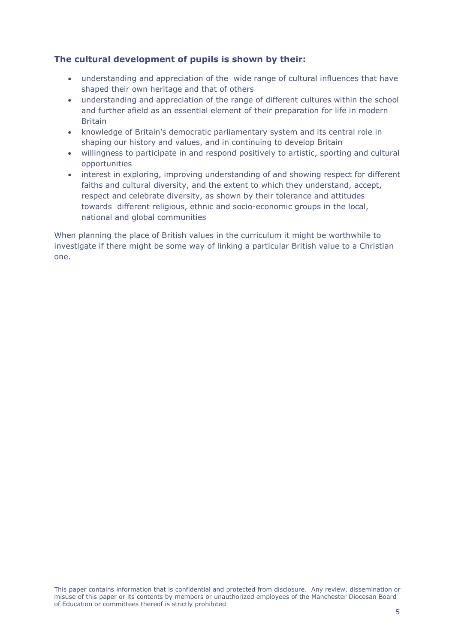## **The cultural development of pupils is shown by their:**

- understanding and appreciation of the wide range of cultural influences that have shaped their own heritage and that of others
- understanding and appreciation of the range of different cultures within the school and further afield as an essential element of their preparation for life in modern Britain
- knowledge of Britain's democratic parliamentary system and its central role in shaping our history and values, and in continuing to develop Britain
- willingness to participate in and respond positively to artistic, sporting and cultural opportunities
- interest in exploring, improving understanding of and showing respect for different faiths and cultural diversity, and the extent to which they understand, accept, respect and celebrate diversity, as shown by their tolerance and attitudes towards different religious, ethnic and socio-economic groups in the local, national and global communities

When planning the place of British values in the curriculum it might be worthwhile to investigate if there might be some way of linking a particular British value to a Christian one.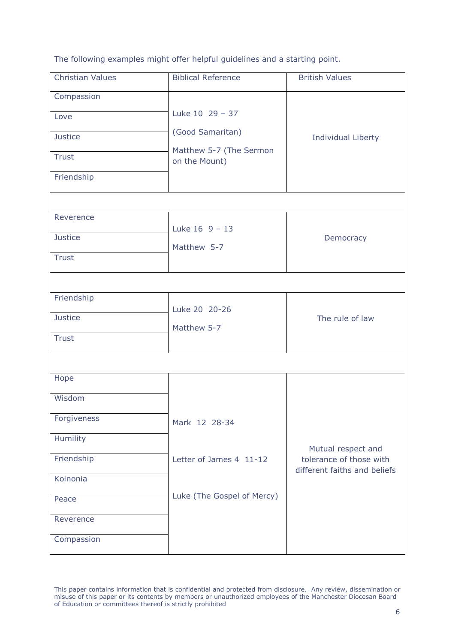The following examples might offer helpful guidelines and a starting point.

| <b>Christian Values</b>                                            | <b>Biblical Reference</b>                                                       | <b>British Values</b>                         |
|--------------------------------------------------------------------|---------------------------------------------------------------------------------|-----------------------------------------------|
| Compassion<br>Love<br><b>Justice</b><br><b>Trust</b><br>Friendship | Luke 10 29 - 37<br>(Good Samaritan)<br>Matthew 5-7 (The Sermon<br>on the Mount) | Individual Liberty                            |
| Reverence                                                          |                                                                                 |                                               |
| <b>Justice</b><br><b>Trust</b>                                     | Luke $16 \t 9 - 13$<br>Matthew 5-7                                              | Democracy                                     |
|                                                                    |                                                                                 |                                               |
| Friendship<br><b>Justice</b><br><b>Trust</b>                       | Luke 20 20-26<br>Matthew 5-7                                                    | The rule of law                               |
|                                                                    |                                                                                 |                                               |
| Hope<br>Wisdom                                                     |                                                                                 |                                               |
| Forgiveness<br>Humility                                            | Mark 12 28-34                                                                   |                                               |
| Friendship                                                         | Letter of James 4 11-12                                                         | Mutual respect and<br>tolerance of those with |
| Koinonia                                                           |                                                                                 | different faiths and beliefs                  |
| Peace                                                              | Luke (The Gospel of Mercy)                                                      |                                               |
| Reverence                                                          |                                                                                 |                                               |
| Compassion                                                         |                                                                                 |                                               |

This paper contains information that is confidential and protected from disclosure. Any review, dissemination or misuse of this paper or its contents by members or unauthorized employees of the Manchester Diocesan Board of Education or committees thereof is strictly prohibited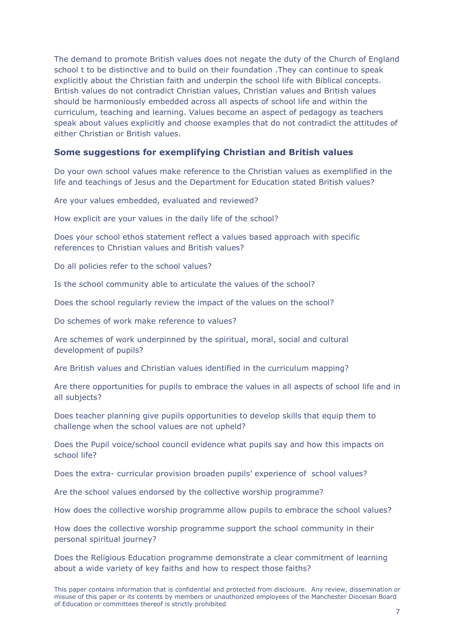The demand to promote British values does not negate the duty of the Church of England school t to be distinctive and to build on their foundation .They can continue to speak explicitly about the Christian faith and underpin the school life with Biblical concepts. British values do not contradict Christian values, Christian values and British values should be harmoniously embedded across all aspects of school life and within the curriculum, teaching and learning. Values become an aspect of pedagogy as teachers speak about values explicitly and choose examples that do not contradict the attitudes of either Christian or British values.

#### **Some suggestions for exemplifying Christian and British values**

Do your own school values make reference to the Christian values as exemplified in the life and teachings of Jesus and the Department for Education stated British values?

Are your values embedded, evaluated and reviewed?

How explicit are your values in the daily life of the school?

Does your school ethos statement reflect a values based approach with specific references to Christian values and British values?

Do all policies refer to the school values?

Is the school community able to articulate the values of the school?

Does the school regularly review the impact of the values on the school?

Do schemes of work make reference to values?

Are schemes of work underpinned by the spiritual, moral, social and cultural development of pupils?

Are British values and Christian values identified in the curriculum mapping?

Are there opportunities for pupils to embrace the values in all aspects of school life and in all subjects?

Does teacher planning give pupils opportunities to develop skills that equip them to challenge when the school values are not upheld?

Does the Pupil voice/school council evidence what pupils say and how this impacts on school life?

Does the extra- curricular provision broaden pupils' experience of school values?

Are the school values endorsed by the collective worship programme?

How does the collective worship programme allow pupils to embrace the school values?

How does the collective worship programme support the school community in their personal spiritual journey?

Does the Religious Education programme demonstrate a clear commitment of learning about a wide variety of key faiths and how to respect those faiths?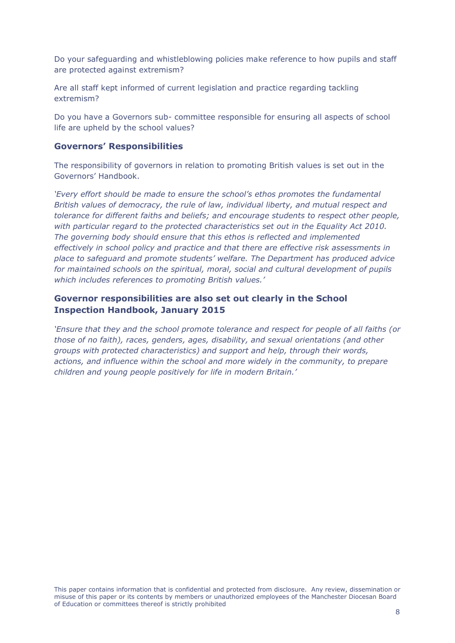Do your safeguarding and whistleblowing policies make reference to how pupils and staff are protected against extremism?

Are all staff kept informed of current legislation and practice regarding tackling extremism?

Do you have a Governors sub- committee responsible for ensuring all aspects of school life are upheld by the school values?

#### **Governors' Responsibilities**

The responsibility of governors in relation to promoting British values is set out in the Governors' Handbook.

*'Every effort should be made to ensure the school's ethos promotes the fundamental British values of democracy, the rule of law, individual liberty, and mutual respect and tolerance for different faiths and beliefs; and encourage students to respect other people, with particular regard to the protected characteristics set out in the Equality Act 2010. The governing body should ensure that this ethos is reflected and implemented effectively in school policy and practice and that there are effective risk assessments in place to safeguard and promote students' welfare. The Department has produced advice for maintained schools on the spiritual, moral, social and cultural development of pupils which includes references to promoting British values.'*

## **Governor responsibilities are also set out clearly in the School Inspection Handbook, January 2015**

*'Ensure that they and the school promote tolerance and respect for people of all faiths (or those of no faith), races, genders, ages, disability, and sexual orientations (and other groups with protected characteristics) and support and help, through their words, actions, and influence within the school and more widely in the community, to prepare children and young people positively for life in modern Britain.'*

This paper contains information that is confidential and protected from disclosure. Any review, dissemination or misuse of this paper or its contents by members or unauthorized employees of the Manchester Diocesan Board of Education or committees thereof is strictly prohibited